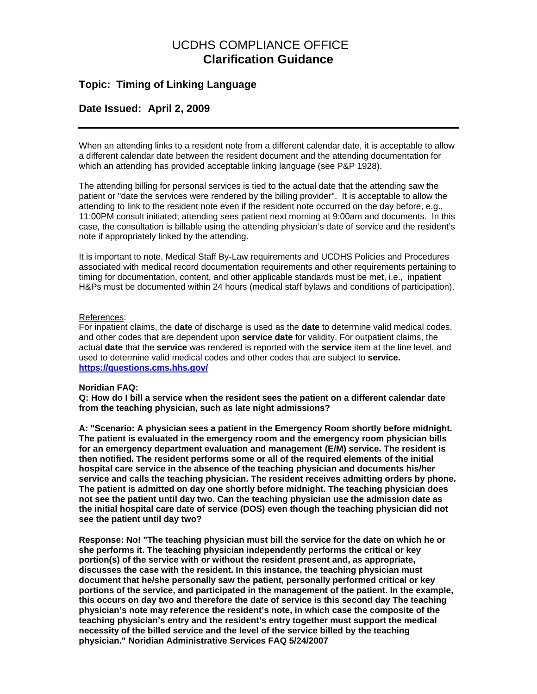# UCDHS COMPLIANCE OFFICE **Clarification Guidance**

## **Topic: Timing of Linking Language**

### **Date Issued: April 2, 2009**

When an attending links to a resident note from a different calendar date, it is acceptable to allow a different calendar date between the resident document and the attending documentation for which an attending has provided acceptable linking language (see P&P 1928).

The attending billing for personal services is tied to the actual date that the attending saw the patient or "date the services were rendered by the billing provider". It is acceptable to allow the attending to link to the resident note even if the resident note occurred on the day before, e.g., 11:00PM consult initiated; attending sees patient next morning at 9:00am and documents. In this case, the consultation is billable using the attending physician's date of service and the resident's note if appropriately linked by the attending.

It is important to note, Medical Staff By-Law requirements and UCDHS Policies and Procedures associated with medical record documentation requirements and other requirements pertaining to timing for documentation, content, and other applicable standards must be met, i.e., inpatient H&Ps must be documented within 24 hours (medical staff bylaws and conditions of participation).

### References:

For inpatient claims, the **date** of discharge is used as the **date** to determine valid medical codes, and other codes that are dependent upon **service date** for validity. For outpatient claims, the actual **date** that the **service** was rendered is reported with the **service** item at the line level, and used to determine valid medical codes and other codes that are subject to **service. <https://questions.cms.hhs.gov/>**

### **Noridian FAQ:**

**Q: How do I bill a service when the resident sees the patient on a different calendar date from the teaching physician, such as late night admissions?** 

**A: "Scenario: A physician sees a patient in the Emergency Room shortly before midnight. The patient is evaluated in the emergency room and the emergency room physician bills for an emergency department evaluation and management (E/M) service. The resident is then notified. The resident performs some or all of the required elements of the initial hospital care service in the absence of the teaching physician and documents his/her service and calls the teaching physician. The resident receives admitting orders by phone. The patient is admitted on day one shortly before midnight. The teaching physician does not see the patient until day two. Can the teaching physician use the admission date as the initial hospital care date of service (DOS) even though the teaching physician did not see the patient until day two?** 

**Response: No! "The teaching physician must bill the service for the date on which he or she performs it. The teaching physician independently performs the critical or key portion(s) of the service with or without the resident present and, as appropriate, discusses the case with the resident. In this instance, the teaching physician must document that he/she personally saw the patient, personally performed critical or key portions of the service, and participated in the management of the patient. In the example, this occurs on day two and therefore the date of service is this second day The teaching physician's note may reference the resident's note, in which case the composite of the teaching physician's entry and the resident's entry together must support the medical necessity of the billed service and the level of the service billed by the teaching physician." Noridian Administrative Services FAQ 5/24/2007**